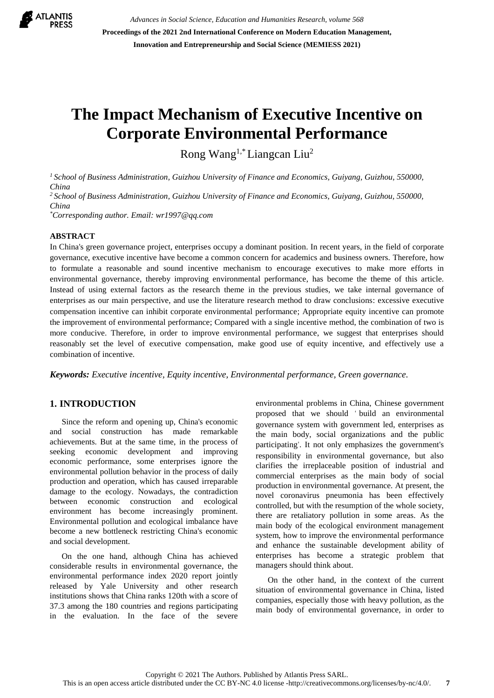

*Advances in Social Science, Education and Humanities Research, volume 568* **Proceedings of the 2021 2nd International Conference on Modern Education Management, Innovation and Entrepreneurship and Social Science (MEMIESS 2021)**

# **The Impact Mechanism of Executive Incentive on Corporate Environmental Performance**

Rong Wang1,\*Liangcan Liu<sup>2</sup>

*<sup>1</sup> School of Business Administration, Guizhou University of Finance and Economics, Guiyang, Guizhou, 550000, China*

*<sup>2</sup> School of Business Administration, Guizhou University of Finance and Economics, Guiyang, Guizhou, 550000, China*

*\*Corresponding author. Email: wr1997@qq.com*

#### **ABSTRACT**

In China's green governance project, enterprises occupy a dominant position. In recent years, in the field of corporate governance, executive incentive have become a common concern for academics and business owners. Therefore, how to formulate a reasonable and sound incentive mechanism to encourage executives to make more efforts in environmental governance, thereby improving environmental performance, has become the theme of this article. Instead of using external factors as the research theme in the previous studies, we take internal governance of enterprises as our main perspective, and use the literature research method to draw conclusions: excessive executive compensation incentive can inhibit corporate environmental performance; Appropriate equity incentive can promote the improvement of environmental performance; Compared with a single incentive method, the combination of two is more conducive. Therefore, in order to improve environmental performance, we suggest that enterprises should reasonably set the level of executive compensation, make good use of equity incentive, and effectively use a combination of incentive.

*Keywords: Executive incentive, Equity incentive, Environmental performance, Green governance.*

# **1. INTRODUCTION**

Since the reform and opening up, China's economic and social construction has made remarkable achievements. But at the same time, in the process of seeking economic development and improving economic performance, some enterprises ignore the environmental pollution behavior in the process of daily production and operation, which has caused irreparable damage to the ecology. Nowadays, the contradiction between economic construction and ecological environment has become increasingly prominent. Environmental pollution and ecological imbalance have become a new bottleneck restricting China's economic and social development.

On the one hand, although China has achieved considerable results in environmental governance, the environmental performance index 2020 report jointly released by Yale University and other research institutions shows that China ranks 120th with a score of 37.3 among the 180 countries and regions participating in the evaluation. In the face of the severe environmental problems in China, Chinese government proposed that we should ' build an environmental governance system with government led, enterprises as the main body, social organizations and the public participating'. It not only emphasizes the government's responsibility in environmental governance, but also clarifies the irreplaceable position of industrial and commercial enterprises as the main body of social production in environmental governance. At present, the novel coronavirus pneumonia has been effectively controlled, but with the resumption of the whole society, there are retaliatory pollution in some areas. As the main body of the ecological environment management system, how to improve the environmental performance and enhance the sustainable development ability of enterprises has become a strategic problem that managers should think about.

On the other hand, in the context of the current situation of environmental governance in China, listed companies, especially those with heavy pollution, as the main body of environmental governance, in order to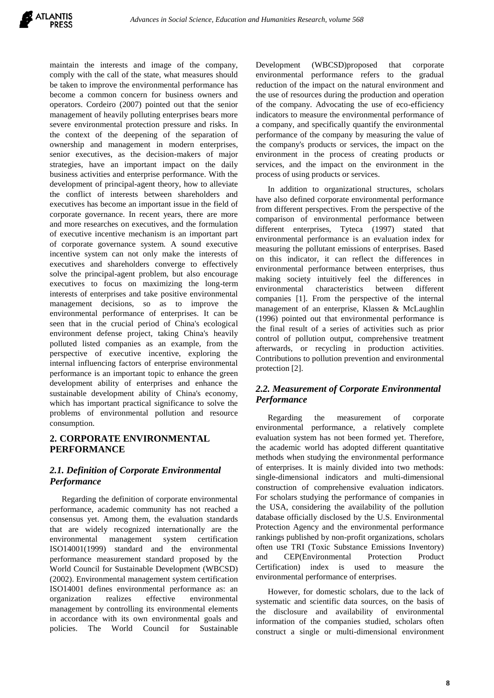maintain the interests and image of the company, comply with the call of the state, what measures should be taken to improve the environmental performance has become a common concern for business owners and operators. Cordeiro (2007) pointed out that the senior management of heavily polluting enterprises bears more severe environmental protection pressure and risks. In the context of the deepening of the separation of ownership and management in modern enterprises, senior executives, as the decision-makers of major strategies, have an important impact on the daily business activities and enterprise performance. With the development of principal-agent theory, how to alleviate the conflict of interests between shareholders and executives has become an important issue in the field of corporate governance. In recent years, there are more and more researches on executives, and the formulation of executive incentive mechanism is an important part of corporate governance system. A sound executive incentive system can not only make the interests of executives and shareholders converge to effectively solve the principal-agent problem, but also encourage executives to focus on maximizing the long-term interests of enterprises and take positive environmental management decisions, so as to improve the environmental performance of enterprises. It can be seen that in the crucial period of China's ecological environment defense project, taking China's heavily polluted listed companies as an example, from the perspective of executive incentive, exploring the internal influencing factors of enterprise environmental performance is an important topic to enhance the green development ability of enterprises and enhance the sustainable development ability of China's economy, which has important practical significance to solve the problems of environmental pollution and resource consumption.

#### **2. CORPORATE ENVIRONMENTAL PERFORMANCE**

#### *2.1. Definition of Corporate Environmental Performance*

Regarding the definition of corporate environmental performance, academic community has not reached a consensus yet. Among them, the evaluation standards that are widely recognized internationally are the environmental management system certification ISO14001(1999) standard and the environmental performance measurement standard proposed by the World Council for Sustainable Development (WBCSD) (2002). Environmental management system certification ISO14001 defines environmental performance as: an organization realizes effective environmental management by controlling its environmental elements in accordance with its own environmental goals and policies. The World Council for Sustainable Development (WBCSD)proposed that corporate environmental performance refers to the gradual reduction of the impact on the natural environment and the use of resources during the production and operation of the company. Advocating the use of eco-efficiency indicators to measure the environmental performance of a company, and specifically quantify the environmental performance of the company by measuring the value of the company's products or services, the impact on the environment in the process of creating products or services, and the impact on the environment in the process of using products or services.

In addition to organizational structures, scholars have also defined corporate environmental performance from different perspectives. From the perspective of the comparison of environmental performance between different enterprises, Tyteca (1997) stated that environmental performance is an evaluation index for measuring the pollutant emissions of enterprises. Based on this indicator, it can reflect the differences in environmental performance between enterprises, thus making society intuitively feel the differences in environmental characteristics between different companies [1]. From the perspective of the internal management of an enterprise, Klassen & McLaughlin (1996) pointed out that environmental performance is the final result of a series of activities such as prior control of pollution output, comprehensive treatment afterwards, or recycling in production activities. Contributions to pollution prevention and environmental protection [2].

#### *2.2. Measurement of Corporate Environmental Performance*

Regarding the measurement of corporate environmental performance, a relatively complete evaluation system has not been formed yet. Therefore, the academic world has adopted different quantitative methods when studying the environmental performance of enterprises. It is mainly divided into two methods: single-dimensional indicators and multi-dimensional construction of comprehensive evaluation indicators. For scholars studying the performance of companies in the USA, considering the availability of the pollution database officially disclosed by the U.S. Environmental Protection Agency and the environmental performance rankings published by non-profit organizations, scholars often use TRI (Toxic Substance Emissions Inventory) and CEP(Environmental Protection Product Certification) index is used to measure the environmental performance of enterprises.

However, for domestic scholars, due to the lack of systematic and scientific data sources, on the basis of the disclosure and availability of environmental information of the companies studied, scholars often construct a single or multi-dimensional environment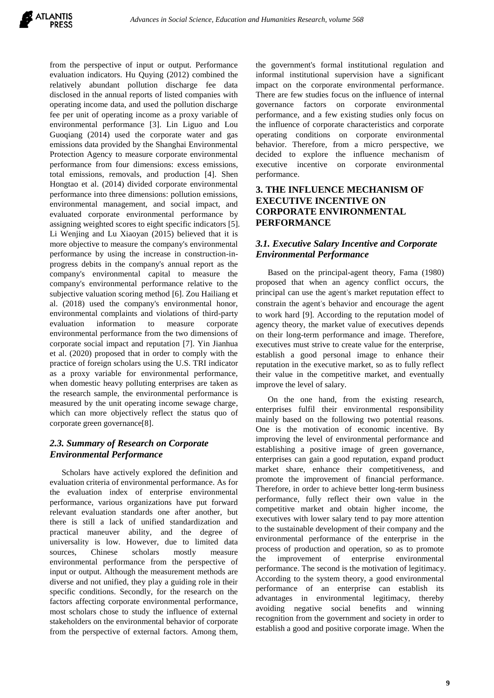from the perspective of input or output. Performance evaluation indicators. Hu Quying (2012) combined the relatively abundant pollution discharge fee data disclosed in the annual reports of listed companies with operating income data, and used the pollution discharge fee per unit of operating income as a proxy variable of environmental performance [3]. Lin Liguo and Lou Guoqiang (2014) used the corporate water and gas emissions data provided by the Shanghai Environmental Protection Agency to measure corporate environmental performance from four dimensions: excess emissions, total emissions, removals, and production [4]. Shen Hongtao et al. (2014) divided corporate environmental performance into three dimensions: pollution emissions, environmental management, and social impact, and evaluated corporate environmental performance by assigning weighted scores to eight specific indicators [5]. Li Wenjing and Lu Xiaoyan (2015) believed that it is more objective to measure the company's environmental performance by using the increase in construction-inprogress debits in the company's annual report as the company's environmental capital to measure the company's environmental performance relative to the subjective valuation scoring method [6]. Zou Hailiang et al. (2018) used the company's environmental honor, environmental complaints and violations of third-party evaluation information to measure corporate environmental performance from the two dimensions of corporate social impact and reputation [7]. Yin Jianhua et al. (2020) proposed that in order to comply with the practice of foreign scholars using the U.S. TRI indicator as a proxy variable for environmental performance, when domestic heavy polluting enterprises are taken as the research sample, the environmental performance is measured by the unit operating income sewage charge, which can more objectively reflect the status quo of corporate green governance[8].

#### *2.3. Summary of Research on Corporate Environmental Performance*

Scholars have actively explored the definition and evaluation criteria of environmental performance. As for the evaluation index of enterprise environmental performance, various organizations have put forward relevant evaluation standards one after another, but there is still a lack of unified standardization and practical maneuver ability, and the degree of universality is low. However, due to limited data sources, Chinese scholars mostly measure environmental performance from the perspective of input or output. Although the measurement methods are diverse and not unified, they play a guiding role in their specific conditions. Secondly, for the research on the factors affecting corporate environmental performance, most scholars chose to study the influence of external stakeholders on the environmental behavior of corporate from the perspective of external factors. Among them, the government's formal institutional regulation and informal institutional supervision have a significant impact on the corporate environmental performance. There are few studies focus on the influence of internal governance factors on corporate environmental performance, and a few existing studies only focus on the influence of corporate characteristics and corporate operating conditions on corporate environmental behavior. Therefore, from a micro perspective, we decided to explore the influence mechanism of executive incentive on corporate environmental performance.

# **3. THE INFLUENCE MECHANISM OF EXECUTIVE INCENTIVE ON CORPORATE ENVIRONMENTAL PERFORMANCE**

#### *3.1. Executive Salary Incentive and Corporate Environmental Performance*

Based on the principal-agent theory, Fama (1980) proposed that when an agency conflict occurs, the principal can use the agent's market reputation effect to constrain the agent's behavior and encourage the agent to work hard [9]. According to the reputation model of agency theory, the market value of executives depends on their long-term performance and image. Therefore, executives must strive to create value for the enterprise, establish a good personal image to enhance their reputation in the executive market, so as to fully reflect their value in the competitive market, and eventually improve the level of salary.

On the one hand, from the existing research, enterprises fulfil their environmental responsibility mainly based on the following two potential reasons. One is the motivation of economic incentive. By improving the level of environmental performance and establishing a positive image of green governance, enterprises can gain a good reputation, expand product market share, enhance their competitiveness, and promote the improvement of financial performance. Therefore, in order to achieve better long-term business performance, fully reflect their own value in the competitive market and obtain higher income, the executives with lower salary tend to pay more attention to the sustainable development of their company and the environmental performance of the enterprise in the process of production and operation, so as to promote the improvement of enterprise environmental performance. The second is the motivation of legitimacy. According to the system theory, a good environmental performance of an enterprise can establish its advantages in environmental legitimacy, thereby avoiding negative social benefits and winning recognition from the government and society in order to establish a good and positive corporate image. When the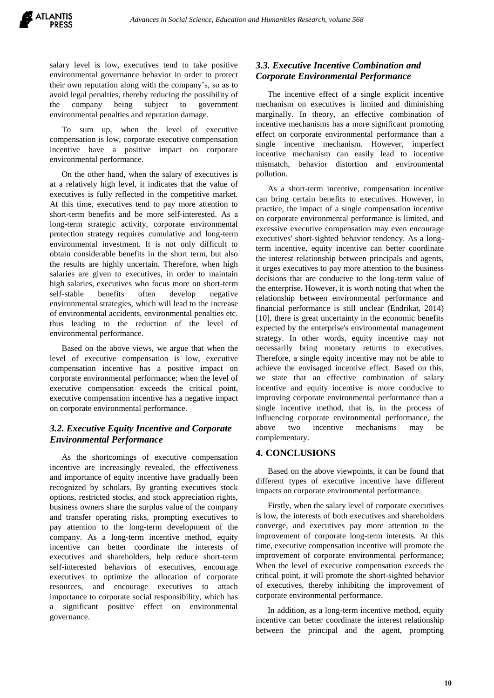salary level is low, executives tend to take positive environmental governance behavior in order to protect their own reputation along with the company's, so as to avoid legal penalties, thereby reducing the possibility of the company being subject to government environmental penalties and reputation damage.

To sum up, when the level of executive compensation is low, corporate executive compensation incentive have a positive impact on corporate environmental performance.

On the other hand, when the salary of executives is at a relatively high level, it indicates that the value of executives is fully reflected in the competitive market. At this time, executives tend to pay more attention to short-term benefits and be more self-interested. As a long-term strategic activity, corporate environmental protection strategy requires cumulative and long-term environmental investment. It is not only difficult to obtain considerable benefits in the short term, but also the results are highly uncertain. Therefore, when high salaries are given to executives, in order to maintain high salaries, executives who focus more on short-term self-stable benefits often develop negative environmental strategies, which will lead to the increase of environmental accidents, environmental penalties etc. thus leading to the reduction of the level of environmental performance.

Based on the above views, we argue that when the level of executive compensation is low, executive compensation incentive has a positive impact on corporate environmental performance; when the level of executive compensation exceeds the critical point, executive compensation incentive has a negative impact on corporate environmental performance.

# *3.2. Executive Equity Incentive and Corporate Environmental Performance*

As the shortcomings of executive compensation incentive are increasingly revealed, the effectiveness and importance of equity incentive have gradually been recognized by scholars. By granting executives stock options, restricted stocks, and stock appreciation rights, business owners share the surplus value of the company and transfer operating risks, prompting executives to pay attention to the long-term development of the company. As a long-term incentive method, equity incentive can better coordinate the interests of executives and shareholders, help reduce short-term self-interested behaviors of executives, encourage executives to optimize the allocation of corporate resources, and encourage executives to attach importance to corporate social responsibility, which has a significant positive effect on environmental governance.

# *3.3. Executive Incentive Combination and Corporate Environmental Performance*

The incentive effect of a single explicit incentive mechanism on executives is limited and diminishing marginally. In theory, an effective combination of incentive mechanisms has a more significant promoting effect on corporate environmental performance than a single incentive mechanism. However, imperfect incentive mechanism can easily lead to incentive mismatch, behavior distortion and environmental pollution.

As a short-term incentive, compensation incentive can bring certain benefits to executives. However, in practice, the impact of a single compensation incentive on corporate environmental performance is limited, and excessive executive compensation may even encourage executives' short-sighted behavior tendency. As a longterm incentive, equity incentive can better coordinate the interest relationship between principals and agents, it urges executives to pay more attention to the business decisions that are conducive to the long-term value of the enterprise. However, it is worth noting that when the relationship between environmental performance and financial performance is still unclear (Endrikat, 2014) [10], there is great uncertainty in the economic benefits expected by the enterprise's environmental management strategy. In other words, equity incentive may not necessarily bring monetary returns to executives. Therefore, a single equity incentive may not be able to achieve the envisaged incentive effect. Based on this, we state that an effective combination of salary incentive and equity incentive is more conducive to improving corporate environmental performance than a single incentive method, that is, in the process of influencing corporate environmental performance, the above two incentive mechanisms may be complementary.

# **4. CONCLUSIONS**

Based on the above viewpoints, it can be found that different types of executive incentive have different impacts on corporate environmental performance.

Firstly, when the salary level of corporate executives is low, the interests of both executives and shareholders converge, and executives pay more attention to the improvement of corporate long-term interests. At this time, executive compensation incentive will promote the improvement of corporate environmental performance; When the level of executive compensation exceeds the critical point, it will promote the short-sighted behavior of executives, thereby inhibiting the improvement of corporate environmental performance.

In addition, as a long-term incentive method, equity incentive can better coordinate the interest relationship between the principal and the agent, prompting